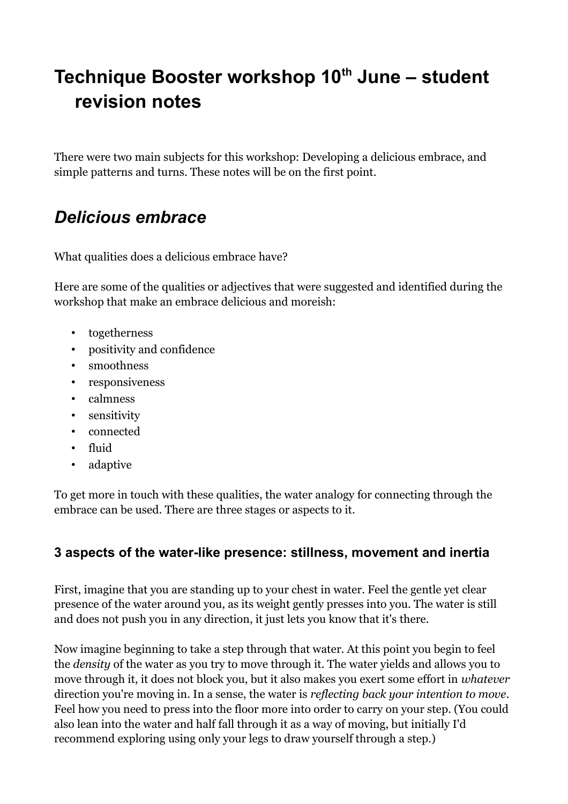# **Technique Booster workshop 10th June – student revision notes**

There were two main subjects for this workshop: Developing a delicious embrace, and simple patterns and turns. These notes will be on the first point.

# *Delicious embrace*

What qualities does a delicious embrace have?

Here are some of the qualities or adjectives that were suggested and identified during the workshop that make an embrace delicious and moreish:

- togetherness
- positivity and confidence
- smoothness
- responsiveness
- calmness
- sensitivity
- connected
- fluid
- adaptive

To get more in touch with these qualities, the water analogy for connecting through the embrace can be used. There are three stages or aspects to it.

# **3 aspects of the water-like presence: stillness, movement and inertia**

First, imagine that you are standing up to your chest in water. Feel the gentle yet clear presence of the water around you, as its weight gently presses into you. The water is still and does not push you in any direction, it just lets you know that it's there.

Now imagine beginning to take a step through that water. At this point you begin to feel the *density* of the water as you try to move through it. The water yields and allows you to move through it, it does not block you, but it also makes you exert some effort in *whatever* direction you're moving in. In a sense, the water is *reflecting back your intention to move*. Feel how you need to press into the floor more into order to carry on your step. (You could also lean into the water and half fall through it as a way of moving, but initially I'd recommend exploring using only your legs to draw yourself through a step.)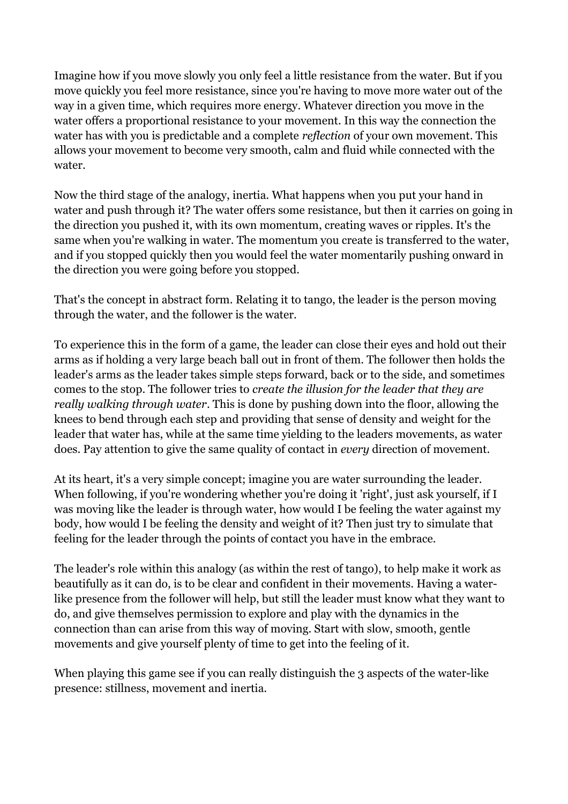Imagine how if you move slowly you only feel a little resistance from the water. But if you move quickly you feel more resistance, since you're having to move more water out of the way in a given time, which requires more energy. Whatever direction you move in the water offers a proportional resistance to your movement. In this way the connection the water has with you is predictable and a complete *reflection* of your own movement. This allows your movement to become very smooth, calm and fluid while connected with the water.

Now the third stage of the analogy, inertia. What happens when you put your hand in water and push through it? The water offers some resistance, but then it carries on going in the direction you pushed it, with its own momentum, creating waves or ripples. It's the same when you're walking in water. The momentum you create is transferred to the water, and if you stopped quickly then you would feel the water momentarily pushing onward in the direction you were going before you stopped.

That's the concept in abstract form. Relating it to tango, the leader is the person moving through the water, and the follower is the water.

To experience this in the form of a game, the leader can close their eyes and hold out their arms as if holding a very large beach ball out in front of them. The follower then holds the leader's arms as the leader takes simple steps forward, back or to the side, and sometimes comes to the stop. The follower tries to *create the illusion for the leader that they are really walking through water*. This is done by pushing down into the floor, allowing the knees to bend through each step and providing that sense of density and weight for the leader that water has, while at the same time yielding to the leaders movements, as water does. Pay attention to give the same quality of contact in *every* direction of movement.

At its heart, it's a very simple concept; imagine you are water surrounding the leader. When following, if you're wondering whether you're doing it 'right', just ask yourself, if I was moving like the leader is through water, how would I be feeling the water against my body, how would I be feeling the density and weight of it? Then just try to simulate that feeling for the leader through the points of contact you have in the embrace.

The leader's role within this analogy (as within the rest of tango), to help make it work as beautifully as it can do, is to be clear and confident in their movements. Having a waterlike presence from the follower will help, but still the leader must know what they want to do, and give themselves permission to explore and play with the dynamics in the connection than can arise from this way of moving. Start with slow, smooth, gentle movements and give yourself plenty of time to get into the feeling of it.

When playing this game see if you can really distinguish the 3 aspects of the water-like presence: stillness, movement and inertia.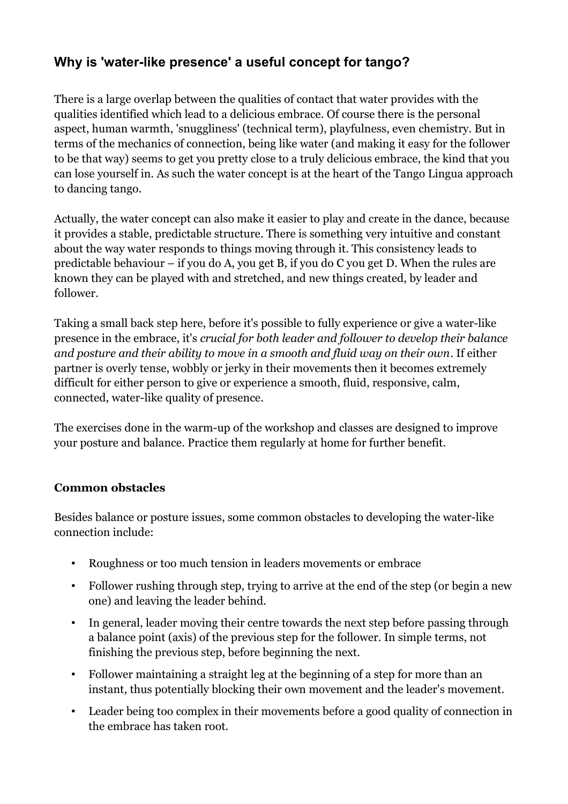# **Why is 'water-like presence' a useful concept for tango?**

There is a large overlap between the qualities of contact that water provides with the qualities identified which lead to a delicious embrace. Of course there is the personal aspect, human warmth, 'snuggliness' (technical term), playfulness, even chemistry. But in terms of the mechanics of connection, being like water (and making it easy for the follower to be that way) seems to get you pretty close to a truly delicious embrace, the kind that you can lose yourself in. As such the water concept is at the heart of the Tango Lingua approach to dancing tango.

Actually, the water concept can also make it easier to play and create in the dance, because it provides a stable, predictable structure. There is something very intuitive and constant about the way water responds to things moving through it. This consistency leads to predictable behaviour – if you do A, you get B, if you do C you get D. When the rules are known they can be played with and stretched, and new things created, by leader and follower.

Taking a small back step here, before it's possible to fully experience or give a water-like presence in the embrace, it's *crucial for both leader and follower to develop their balance and posture and their ability to move in a smooth and fluid way on their own*. If either partner is overly tense, wobbly or jerky in their movements then it becomes extremely difficult for either person to give or experience a smooth, fluid, responsive, calm, connected, water-like quality of presence.

The exercises done in the warm-up of the workshop and classes are designed to improve your posture and balance. Practice them regularly at home for further benefit.

#### **Common obstacles**

Besides balance or posture issues, some common obstacles to developing the water-like connection include:

- Roughness or too much tension in leaders movements or embrace
- Follower rushing through step, trying to arrive at the end of the step (or begin a new one) and leaving the leader behind.
- In general, leader moving their centre towards the next step before passing through a balance point (axis) of the previous step for the follower. In simple terms, not finishing the previous step, before beginning the next.
- Follower maintaining a straight leg at the beginning of a step for more than an instant, thus potentially blocking their own movement and the leader's movement.
- Leader being too complex in their movements before a good quality of connection in the embrace has taken root.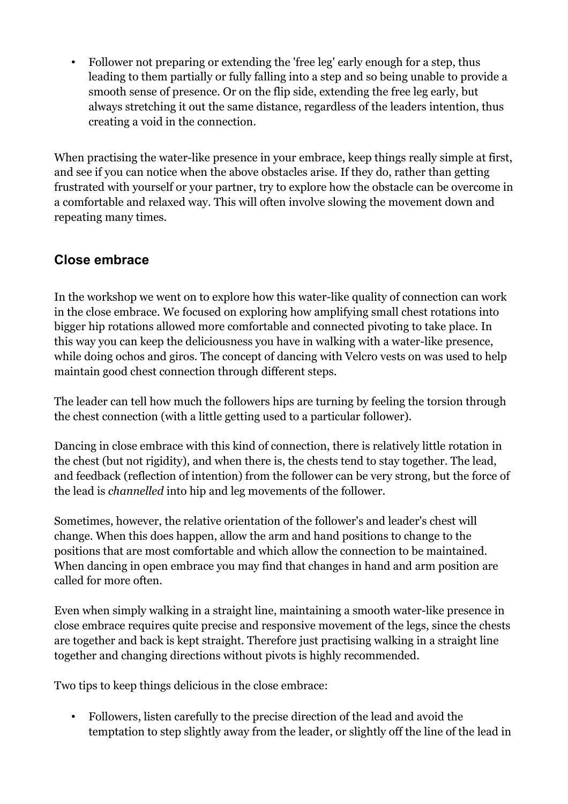• Follower not preparing or extending the 'free leg' early enough for a step, thus leading to them partially or fully falling into a step and so being unable to provide a smooth sense of presence. Or on the flip side, extending the free leg early, but always stretching it out the same distance, regardless of the leaders intention, thus creating a void in the connection.

When practising the water-like presence in your embrace, keep things really simple at first, and see if you can notice when the above obstacles arise. If they do, rather than getting frustrated with yourself or your partner, try to explore how the obstacle can be overcome in a comfortable and relaxed way. This will often involve slowing the movement down and repeating many times.

# **Close embrace**

In the workshop we went on to explore how this water-like quality of connection can work in the close embrace. We focused on exploring how amplifying small chest rotations into bigger hip rotations allowed more comfortable and connected pivoting to take place. In this way you can keep the deliciousness you have in walking with a water-like presence, while doing ochos and giros. The concept of dancing with Velcro vests on was used to help maintain good chest connection through different steps.

The leader can tell how much the followers hips are turning by feeling the torsion through the chest connection (with a little getting used to a particular follower).

Dancing in close embrace with this kind of connection, there is relatively little rotation in the chest (but not rigidity), and when there is, the chests tend to stay together. The lead, and feedback (reflection of intention) from the follower can be very strong, but the force of the lead is *channelled* into hip and leg movements of the follower.

Sometimes, however, the relative orientation of the follower's and leader's chest will change. When this does happen, allow the arm and hand positions to change to the positions that are most comfortable and which allow the connection to be maintained. When dancing in open embrace you may find that changes in hand and arm position are called for more often.

Even when simply walking in a straight line, maintaining a smooth water-like presence in close embrace requires quite precise and responsive movement of the legs, since the chests are together and back is kept straight. Therefore just practising walking in a straight line together and changing directions without pivots is highly recommended.

Two tips to keep things delicious in the close embrace:

• Followers, listen carefully to the precise direction of the lead and avoid the temptation to step slightly away from the leader, or slightly off the line of the lead in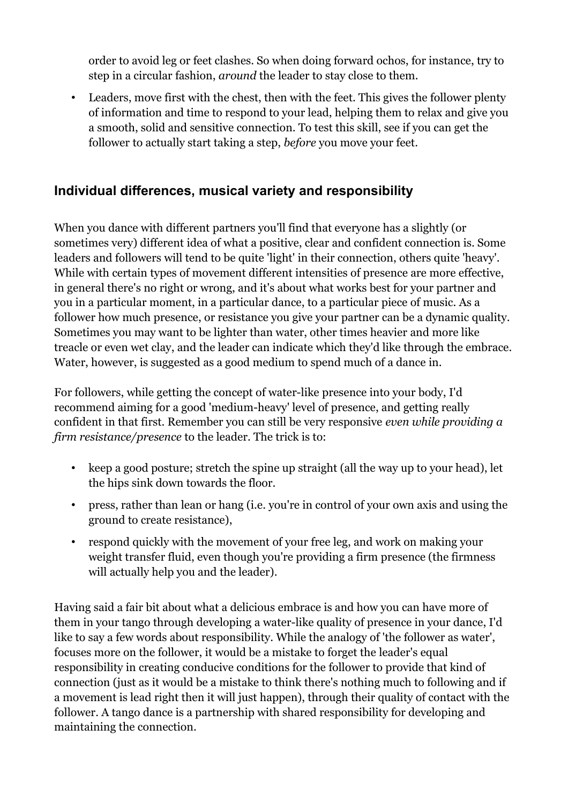order to avoid leg or feet clashes. So when doing forward ochos, for instance, try to step in a circular fashion, *around* the leader to stay close to them.

• Leaders, move first with the chest, then with the feet. This gives the follower plenty of information and time to respond to your lead, helping them to relax and give you a smooth, solid and sensitive connection. To test this skill, see if you can get the follower to actually start taking a step, *before* you move your feet.

## **Individual differences, musical variety and responsibility**

When you dance with different partners you'll find that everyone has a slightly (or sometimes very) different idea of what a positive, clear and confident connection is. Some leaders and followers will tend to be quite 'light' in their connection, others quite 'heavy'. While with certain types of movement different intensities of presence are more effective, in general there's no right or wrong, and it's about what works best for your partner and you in a particular moment, in a particular dance, to a particular piece of music. As a follower how much presence, or resistance you give your partner can be a dynamic quality. Sometimes you may want to be lighter than water, other times heavier and more like treacle or even wet clay, and the leader can indicate which they'd like through the embrace. Water, however, is suggested as a good medium to spend much of a dance in.

For followers, while getting the concept of water-like presence into your body, I'd recommend aiming for a good 'medium-heavy' level of presence, and getting really confident in that first. Remember you can still be very responsive *even while providing a firm resistance/presence* to the leader. The trick is to:

- keep a good posture; stretch the spine up straight (all the way up to your head), let the hips sink down towards the floor.
- press, rather than lean or hang (i.e. you're in control of your own axis and using the ground to create resistance),
- respond quickly with the movement of your free leg, and work on making your weight transfer fluid, even though you're providing a firm presence (the firmness will actually help you and the leader).

Having said a fair bit about what a delicious embrace is and how you can have more of them in your tango through developing a water-like quality of presence in your dance, I'd like to say a few words about responsibility. While the analogy of 'the follower as water', focuses more on the follower, it would be a mistake to forget the leader's equal responsibility in creating conducive conditions for the follower to provide that kind of connection (just as it would be a mistake to think there's nothing much to following and if a movement is lead right then it will just happen), through their quality of contact with the follower. A tango dance is a partnership with shared responsibility for developing and maintaining the connection.